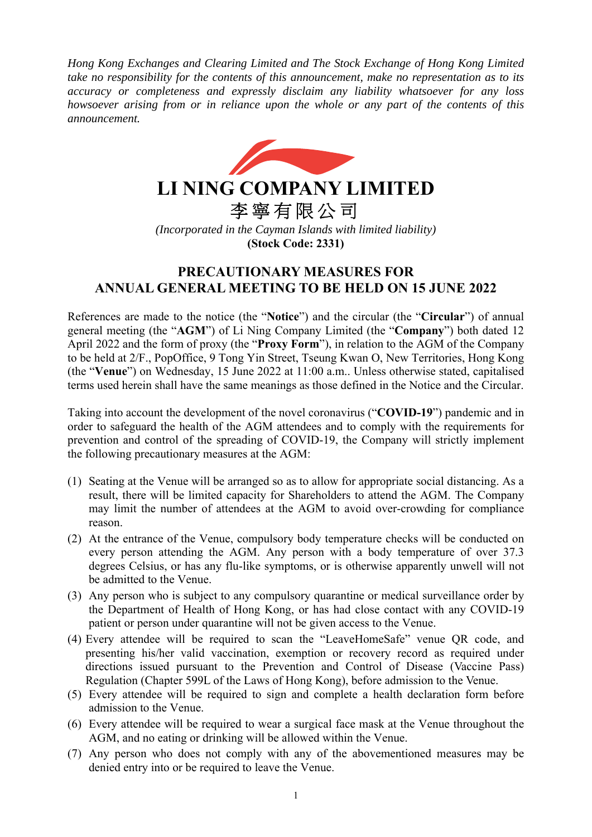*Hong Kong Exchanges and Clearing Limited and The Stock Exchange of Hong Kong Limited take no responsibility for the contents of this announcement, make no representation as to its accuracy or completeness and expressly disclaim any liability whatsoever for any loss howsoever arising from or in reliance upon the whole or any part of the contents of this announcement.* 



## **LI NING COMPANY LIMITED**

李寧有限公司

*(Incorporated in the Cayman Islands with limited liability)*  **(Stock Code: 2331)** 

## **PRECAUTIONARY MEASURES FOR ANNUAL GENERAL MEETING TO BE HELD ON 15 JUNE 2022**

References are made to the notice (the "**Notice**") and the circular (the "**Circular**") of annual general meeting (the "**AGM**") of Li Ning Company Limited (the "**Company**") both dated 12 April 2022 and the form of proxy (the "**Proxy Form**"), in relation to the AGM of the Company to be held at 2/F., PopOffice, 9 Tong Yin Street, Tseung Kwan O, New Territories, Hong Kong (the "**Venue**") on Wednesday, 15 June 2022 at 11:00 a.m.. Unless otherwise stated, capitalised terms used herein shall have the same meanings as those defined in the Notice and the Circular.

Taking into account the development of the novel coronavirus ("**COVID-19**") pandemic and in order to safeguard the health of the AGM attendees and to comply with the requirements for prevention and control of the spreading of COVID-19, the Company will strictly implement the following precautionary measures at the AGM:

- (1) Seating at the Venue will be arranged so as to allow for appropriate social distancing. As a result, there will be limited capacity for Shareholders to attend the AGM. The Company may limit the number of attendees at the AGM to avoid over-crowding for compliance reason.
- (2) At the entrance of the Venue, compulsory body temperature checks will be conducted on every person attending the AGM. Any person with a body temperature of over 37.3 degrees Celsius, or has any flu-like symptoms, or is otherwise apparently unwell will not be admitted to the Venue.
- (3) Any person who is subject to any compulsory quarantine or medical surveillance order by the Department of Health of Hong Kong, or has had close contact with any COVID-19 patient or person under quarantine will not be given access to the Venue.
- (4) Every attendee will be required to scan the "LeaveHomeSafe" venue QR code, and presenting his/her valid vaccination, exemption or recovery record as required under directions issued pursuant to the Prevention and Control of Disease (Vaccine Pass) Regulation (Chapter 599L of the Laws of Hong Kong), before admission to the Venue.
- (5) Every attendee will be required to sign and complete a health declaration form before admission to the Venue.
- (6) Every attendee will be required to wear a surgical face mask at the Venue throughout the AGM, and no eating or drinking will be allowed within the Venue.
- (7) Any person who does not comply with any of the abovementioned measures may be denied entry into or be required to leave the Venue.